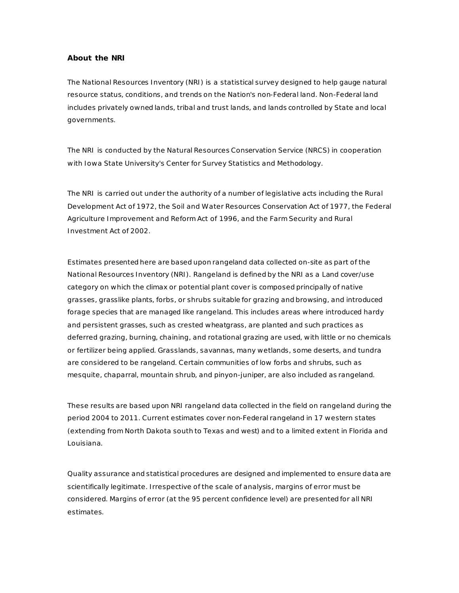## **About the NRI**

The National Resources Inventory (NRI) is a statistical survey designed to help gauge natural resource status, conditions, and trends on the Nation's non-Federal land. Non-Federal land includes privately owned lands, tribal and trust lands, and lands controlled by State and local governments.

The NRI is conducted by the Natural Resources Conservation Service (NRCS) in cooperation with Iowa State University's Center for Survey Statistics and Methodology.

The NRI is carried out under the authority of a number of legislative acts including the Rural Development Act of 1972, the Soil and Water Resources Conservation Act of 1977, the Federal Agriculture Improvement and Reform Act of 1996, and the Farm Security and Rural Investment Act of 2002.

Estimates presented here are based upon rangeland data collected on-site as part of the National Resources Inventory (NRI). Rangeland is defined by the NRI as a *Land cover/use* category on which the climax or potential plant cover is composed principally of native grasses, grasslike plants, forbs, or shrubs suitable for grazing and browsing, and introduced forage species that are managed like rangeland. This includes areas where introduced hardy and persistent grasses, such as crested wheatgrass, are planted and such practices as deferred grazing, burning, chaining, and rotational grazing are used, with little or no chemicals or fertilizer being applied. Grasslands, savannas, many wetlands, some deserts, and tundra are considered to be rangeland. Certain communities of low forbs and shrubs, such as mesquite, chaparral, mountain shrub, and pinyon-juniper, are also included as rangeland.

These results are based upon NRI rangeland data collected in the field on rangeland during the period 2004 to 2011. Current estimates cover non-Federal rangeland in 17 western states (extending from North Dakota south to Texas and west) and to a limited extent in Florida and Louisiana.

Quality assurance and statistical procedures are designed and implemented to ensure data are scientifically legitimate. Irrespective of the scale of analysis, margins of error must be considered. Margins of error (at the 95 percent confidence level) are presented for all NRI estimates.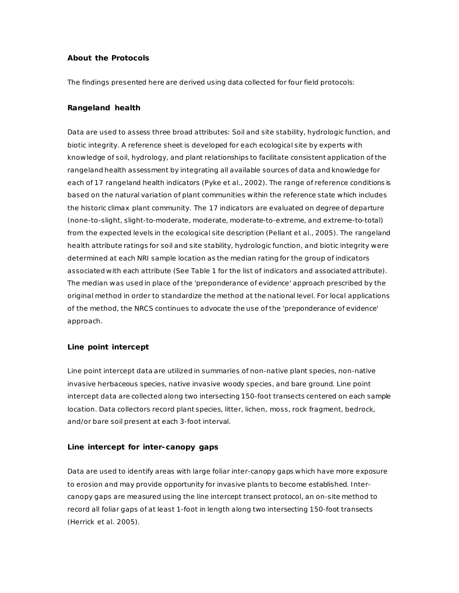# **About the Protocols**

The findings presented here are derived using data collected for four field protocols:

## **Rangeland health**

Data are used to assess three broad attributes: Soil and site stability, hydrologic function, and biotic integrity. A reference sheet is developed for each ecological site by experts with knowledge of soil, hydrology, and plant relationships to facilitate consistent application of the rangeland health assessment by integrating all available sources of data and knowledge for each of 17 rangeland health indicators (Pyke et al., 2002). The range of reference conditions is based on the natural variation of plant communities within the reference state which includes the historic climax plant community. The 17 indicators are evaluated on degree of departure (none-to-slight, slight-to-moderate, moderate, moderate-to-extreme, and extreme-to-total) from the expected levels in the ecological site description (Pellant et al., 2005). The rangeland health attribute ratings for soil and site stability, hydrologic function, and biotic integrity were determined at each NRI sample location as the median rating for the group of indicators associated with each attribute (See Table 1 for the list of indicators and associated attribute). The median was used in place of the 'preponderance of evidence' approach prescribed by the original method in order to standardize the method at the national level. For local applications of the method, the NRCS continues to advocate the use of the 'preponderance of evidence' approach.

#### **Line point intercept**

Line point intercept data are utilized in summaries of non-native plant species, non-native invasive herbaceous species, native invasive woody species, and bare ground. Line point intercept data are collected along two intersecting 150-foot transects centered on each sample location. Data collectors record plant species, litter, lichen, moss, rock fragment, bedrock, and/or bare soil present at each 3-foot interval.

# **Line intercept for inter-canopy gaps**

Data are used to identify areas with large foliar inter-canopy gaps which have more exposure to erosion and may provide opportunity for invasive plants to become established. Intercanopy gaps are measured using the line intercept transect protocol, an on-site method to record all foliar gaps of at least 1-foot in length along two intersecting 150-foot transects (Herrick et al. 2005).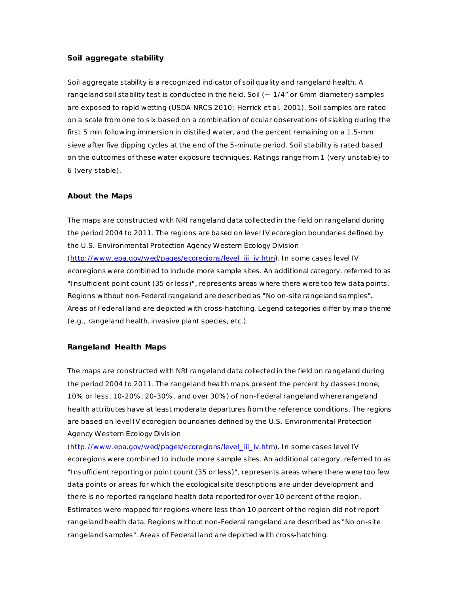# **Soil aggregate stability**

Soil aggregate stability is a recognized indicator of soil quality and rangeland health. A rangeland soil stability test is conducted in the field. Soil (~ 1/4" or 6mm diameter) samples are exposed to rapid wetting (USDA-NRCS 2010; Herrick et al. 2001). Soil samples are rated on a scale from one to six based on a combination of ocular observations of slaking during the first 5 min following immersion in distilled water, and the percent remaining on a 1.5-mm sieve after five dipping cycles at the end of the 5-minute period. Soil stability is rated based on the outcomes of these water exposure techniques. Ratings range from 1 (very unstable) to 6 (very stable).

### **About the Maps**

The maps are constructed with NRI rangeland data collected in the field on rangeland during the period 2004 to 2011. The regions are based on level IV ecoregion boundaries defined by the U.S. Environmental Protection Agency Western Ecology Division [\(http://www .epa.gov/wed/pages/ecoregions/level\\_iii\\_iv.htm\)](http://www.epa.gov/wed/pages/ecoregions/level_iii_iv.htm). In some cases level IV ecoregions were combined to include more sample sites. An additional category, referred to as "Insufficient point count (35 or less)", represents areas where there were too few data points. Regions without non-Federal rangeland are described as "No on-site rangeland samples". Areas of Federal land are depicted with cross-hatching. Legend categories differ by map theme (e.g., rangeland health, invasive plant species, etc.)

#### **Rangeland Health Maps**

The maps are constructed with NRI rangeland data collected in the field on rangeland during the period 2004 to 2011. The rangeland health maps present the percent by classes (none, 10% or less, 10-20%, 20-30%, and over 30%) of non-Federal rangeland where rangeland health attributes have at least moderate departures from the reference conditions. The regions are based on level IV ecoregion boundaries defined by the U.S. Environmental Protection Agency Western Ecology Division

[\(http://www .epa.gov/wed/pages/ecoregions/level\\_iii\\_iv.htm\)](http://www.epa.gov/wed/pages/ecoregions/level_iii_iv.htm). In some cases level IV ecoregions were combined to include more sample sites. An additional category, referred to as "Insufficient reporting or point count (35 or less)", represents areas where there were too few data points or areas for which the ecological site descriptions are under development and there is no reported rangeland health data reported for over 10 percent of the region. Estimates were mapped for regions where less than 10 percent of the region did not report rangeland health data. Regions without non-Federal rangeland are described as "No on-site rangeland samples". Areas of Federal land are depicted with cross-hatching.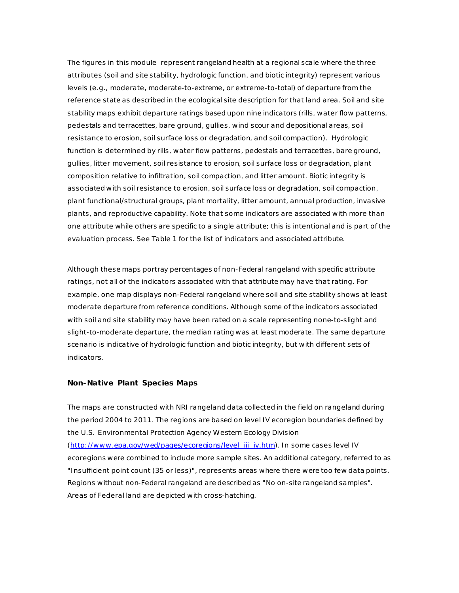The figures in this module represent rangeland health at a regional scale where the three attributes (soil and site stability, hydrologic function, and biotic integrity) represent various levels (e.g., moderate, moderate-to-extreme, or extreme-to-total) of departure from the reference state as described in the ecological site description for that land area. Soil and site stability maps exhibit departure ratings based upon nine indicators (rills, water flow patterns, pedestals and terracettes, bare ground, gullies, wind scour and depositional areas, soil resistance to erosion, soil surface loss or degradation, and soil compaction). Hydrologic function is determined by rills, water flow patterns, pedestals and terracettes, bare ground, gullies, litter movement, soil resistance to erosion, soil surface loss or degradation, plant composition relative to infiltration, soil compaction, and litter amount. Biotic integrity is associated with soil resistance to erosion, soil surface loss or degradation, soil compaction, plant functional/structural groups, plant mortality, litter amount, annual production, invasive plants, and reproductive capability. Note that some indicators are associated with more than one attribute while others are specific to a single attribute; this is intentional and is part of the evaluation process. See Table 1 for the list of indicators and associated attribute.

Although these maps portray percentages of non-Federal rangeland with specific attribute ratings, not all of the indicators associated with that attribute may have that rating. For example, one map displays non-Federal rangeland where soil and site stability shows at least moderate departure from reference conditions. Although some of the indicators associated with soil and site stability may have been rated on a scale representing none-to-slight and slight-to-moderate departure, the median rating was at least moderate. The same departure scenario is indicative of hydrologic function and biotic integrity, but with different sets of indicators.

#### **Non-Native Plant Species Maps**

The maps are constructed with NRI rangeland data collected in the field on rangeland during the period 2004 to 2011. The regions are based on level IV ecoregion boundaries defined by the U.S. Environmental Protection Agency Western Ecology Division (http://www.epa.gov/wed/pages/ecoregions/level\_iii\_iv.htm). In some cases level IV ecoregions were combined to include more sample sites. An additional category, referred to as "Insufficient point count (35 or less)", represents areas where there were too few data points. Regions without non-Federal rangeland are described as "No on-site rangeland samples". Areas of Federal land are depicted with cross-hatching.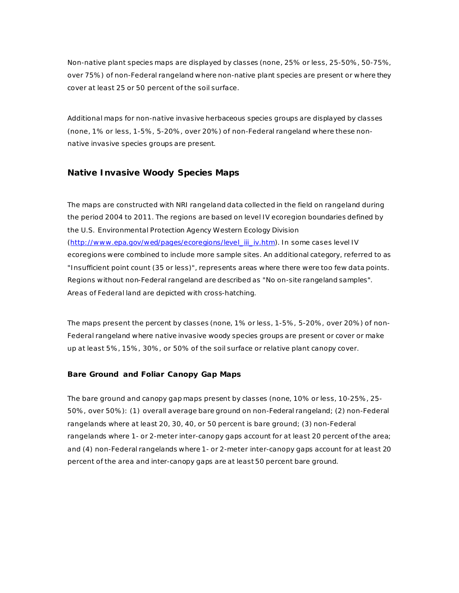Non-native plant species maps are displayed by classes (none, 25% or less, 25-50%, 50-75%, over 75%) of non-Federal rangeland where non-native plant species are present or where they cover at least 25 or 50 percent of the soil surface.

Additional maps for non-native invasive herbaceous species groups are displayed by classes (none, 1% or less, 1-5%, 5-20%, over 20%) of non-Federal rangeland where these nonnative invasive species groups are present.

# **Native Invasive Woody Species Maps**

The maps are constructed with NRI rangeland data collected in the field on rangeland during the period 2004 to 2011. The regions are based on level IV ecoregion boundaries defined by the U.S. Environmental Protection Agency Western Ecology Division [\(http://www .epa.gov/wed/pages/ecoregions/level\\_iii\\_iv.htm\)](http://www.epa.gov/wed/pages/ecoregions/level_iii_iv.htm). In some cases level IV ecoregions were combined to include more sample sites. An additional category, referred to as "Insufficient point count (35 or less)", represents areas where there were too few data points. Regions without non-Federal rangeland are described as "No on-site rangeland samples". Areas of Federal land are depicted with cross-hatching.

The maps present the percent by classes (none, 1% or less, 1-5%, 5-20%, over 20%) of non-Federal rangeland where native invasive woody species groups are present or cover or make up at least 5%, 15%, 30%, or 50% of the soil surface or relative plant canopy cover.

## **Bare Ground and Foliar Canopy Gap Maps**

The bare ground and canopy gap maps present by classes (none, 10% or less, 10-25%, 25- 50%, over 50%): (1) overall average bare ground on non-Federal rangeland; (2) non-Federal rangelands where at least 20, 30, 40, or 50 percent is bare ground; (3) non-Federal rangelands where 1- or 2-meter inter-canopy gaps account for at least 20 percent of the area; and (4) non-Federal rangelands where 1- or 2-meter inter-canopy gaps account for at least 20 percent of the area and inter-canopy gaps are at least 50 percent bare ground.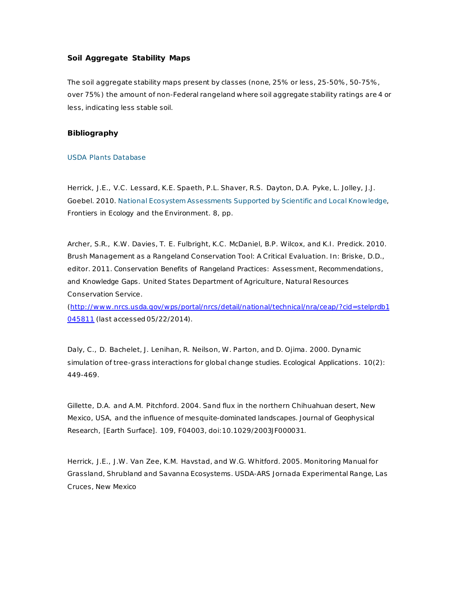# **Soil Aggregate Stability Maps**

The soil aggregate stability maps present by classes (none, 25% or less, 25-50%, 50-75%, over 75%) the amount of non-Federal rangeland where soil aggregate stability ratings are 4 or less, indicating less stable soil.

## **Bibliography**

#### [USDA Plants Database](http://plants.usda.gov/)

Herrick, J.E., V.C. Lessard, K.E. Spaeth, P.L. Shaver, R.S. Dayton, D.A. Pyke, L. Jolley, J.J. Goebel. 2010[. National Ecosystem Assessments Supported by Scientific and Local Knowledge,](http://ddr.nal.usda.gov/dspace/handle/10113/45178) *Frontiers in Ecology and the Environment*. 8, pp.

Archer, S.R., K.W . Davies, T. E. Fulbright, K.C. McDaniel, B.P. Wilcox, and K.I. Predick. 2010. Brush Management as a Rangeland Conservation Tool: A Critical Evaluation. In: Briske, D.D., editor. 2011. *Conservation Benefits of Rangeland Practices: Assessment, Recommendations, and Knowledge Gaps.* United States Department of Agriculture, Natural Resources Conservation Service.

[\(http://www .nrcs.usda.gov/wps/portal/nrcs/detail/national/technical/nra/ceap/?cid=stelprdb1](http://www.nrcs.usda.gov/wps/portal/nrcs/detail/national/technical/nra/ceap/?cid=stelprdb1045811) [045811](http://www.nrcs.usda.gov/wps/portal/nrcs/detail/national/technical/nra/ceap/?cid=stelprdb1045811) (last accessed 05/22/2014).

Daly, C., D. Bachelet, J. Lenihan, R. Neilson, W . Parton, and D. Ojima. 2000. Dynamic simulation of tree-grass interactions for global change studies. *Ecological Applications*. 10(2): 449-469.

Gillette, D.A. and A.M. Pitchford. 2004. Sand flux in the northern Chihuahuan desert, New Mexico, USA, and the influence of mesquite-dominated landscapes. *Journal of Geophysical Research, [Earth Surface]*. 109, F04003, doi:10.1029/2003JF000031.

Herrick, J.E., J.W . Van Zee, K.M. Havstad, and W .G. Whitford. 2005. Monitoring Manual for Grassland, Shrubland and Savanna Ecosystems. USDA-ARS Jornada Experimental Range, Las Cruces, New Mexico